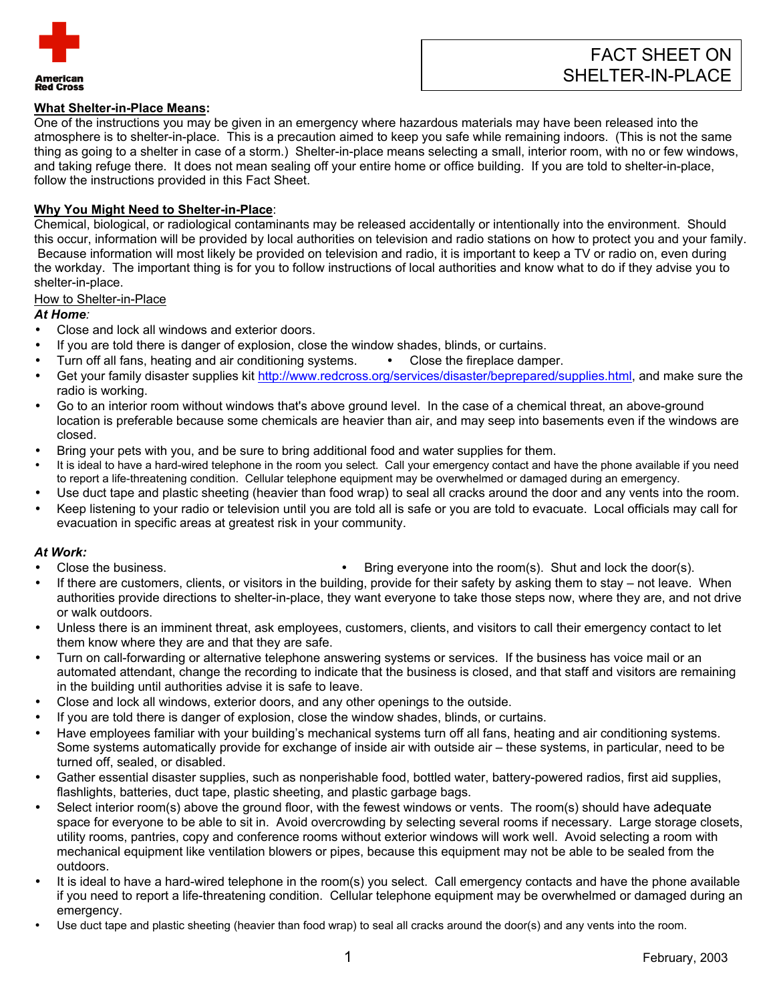

## **What Shelter-in-Place Means:**

One of the instructions you may be given in an emergency where hazardous materials may have been released into the atmosphere is to shelter-in-place. This is a precaution aimed to keep you safe while remaining indoors. (This is not the same thing as going to a shelter in case of a storm.) Shelter-in-place means selecting a small, interior room, with no or few windows, and taking refuge there. It does not mean sealing off your entire home or office building. If you are told to shelter-in-place, follow the instructions provided in this Fact Sheet.

#### **Why You Might Need to Shelter-in-Place**:

Chemical, biological, or radiological contaminants may be released accidentally or intentionally into the environment. Should this occur, information will be provided by local authorities on television and radio stations on how to protect you and your family. Because information will most likely be provided on television and radio, it is important to keep a TV or radio on, even during the workday. The important thing is for you to follow instructions of local authorities and know what to do if they advise you to shelter-in-place.

## How to Shelter-in-Place

*At Home:* 

- Close and lock all windows and exterior doors.
- If you are told there is danger of explosion, close the window shades, blinds, or curtains.
- Turn off all fans, heating and air conditioning systems.  $\bullet$  Close the fireplace damper.
- Get your family disaster supplies kit [http://www.redcross.org/services/disaster/beprepared/supplies.html,](http://www.redcross.org/services/disaster/beprepared/supplies.html) and make sure the radio is working.
- Go to an interior room without windows that's above ground level. In the case of a chemical threat, an above-ground location is preferable because some chemicals are heavier than air, and may seep into basements even if the windows are closed.
- Bring your pets with you, and be sure to bring additional food and water supplies for them.
- It is ideal to have a hard-wired telephone in the room you select. Call your emergency contact and have the phone available if you need to report a life-threatening condition. Cellular telephone equipment may be overwhelmed or damaged during an emergency.
- Use duct tape and plastic sheeting (heavier than food wrap) to seal all cracks around the door and any vents into the room.
- Keep listening to your radio or television until you are told all is safe or you are told to evacuate. Local officials may call for evacuation in specific areas at greatest risk in your community.

#### *At Work:*

- 
- Close the business.  $\bullet$  Bring everyone into the room(s). Shut and lock the door(s).
- If there are customers, clients, or visitors in the building, provide for their safety by asking them to stay not leave. When authorities provide directions to shelter-in-place, they want everyone to take those steps now, where they are, and not drive or walk outdoors.
- Unless there is an imminent threat, ask employees, customers, clients, and visitors to call their emergency contact to let them know where they are and that they are safe.
- Turn on call-forwarding or alternative telephone answering systems or services. If the business has voice mail or an automated attendant, change the recording to indicate that the business is closed, and that staff and visitors are remaining in the building until authorities advise it is safe to leave.
- Close and lock all windows, exterior doors, and any other openings to the outside.
- If you are told there is danger of explosion, close the window shades, blinds, or curtains.
- Have employees familiar with your building's mechanical systems turn off all fans, heating and air conditioning systems. Some systems automatically provide for exchange of inside air with outside air – these systems, in particular, need to be turned off, sealed, or disabled.
- Gather essential disaster supplies, such as nonperishable food, bottled water, battery-powered radios, first aid supplies, flashlights, batteries, duct tape, plastic sheeting, and plastic garbage bags.
- Select interior room(s) above the ground floor, with the fewest windows or vents. The room(s) should have adequate space for everyone to be able to sit in. Avoid overcrowding by selecting several rooms if necessary. Large storage closets, utility rooms, pantries, copy and conference rooms without exterior windows will work well. Avoid selecting a room with mechanical equipment like ventilation blowers or pipes, because this equipment may not be able to be sealed from the outdoors.
- It is ideal to have a hard-wired telephone in the room(s) you select. Call emergency contacts and have the phone available if you need to report a life-threatening condition. Cellular telephone equipment may be overwhelmed or damaged during an emergency.
- Use duct tape and plastic sheeting (heavier than food wrap) to seal all cracks around the door(s) and any vents into the room.